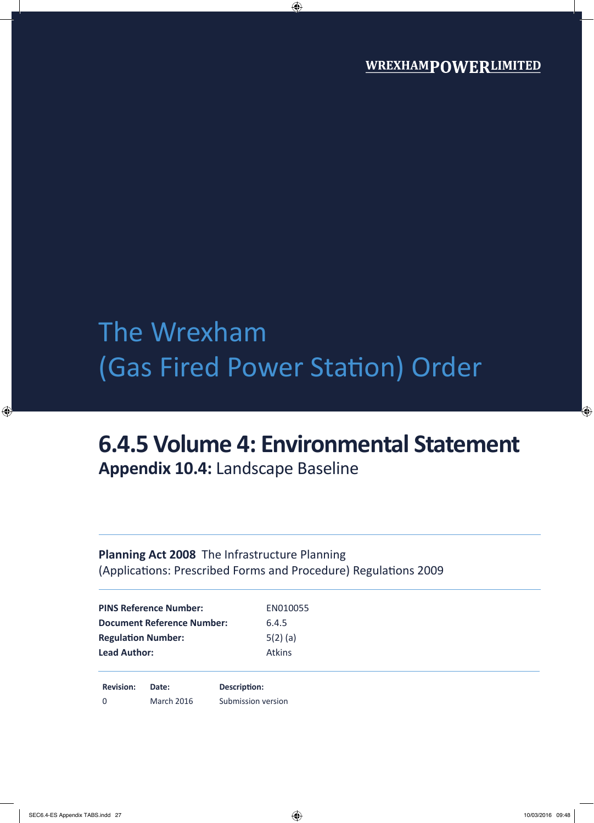# The Wrexham (Gas Fired Power Station) Order

## **6.4.5 Volume 4: Environmental Statement**

**Appendix 10.4:** Landscape Baseline

### **Planning Act 2008** The Infrastructure Planning (Applications: Prescribed Forms and Procedure) Regulations 2009

| <b>PINS Reference Number:</b>     | EN010055      |  |
|-----------------------------------|---------------|--|
| <b>Document Reference Number:</b> | 6.4.5         |  |
| <b>Regulation Number:</b>         | $5(2)$ (a)    |  |
| <b>Lead Author:</b>               | <b>Atkins</b> |  |
|                                   |               |  |
|                                   |               |  |

**Revision: Date: Description:** 0 March 2016 Submission version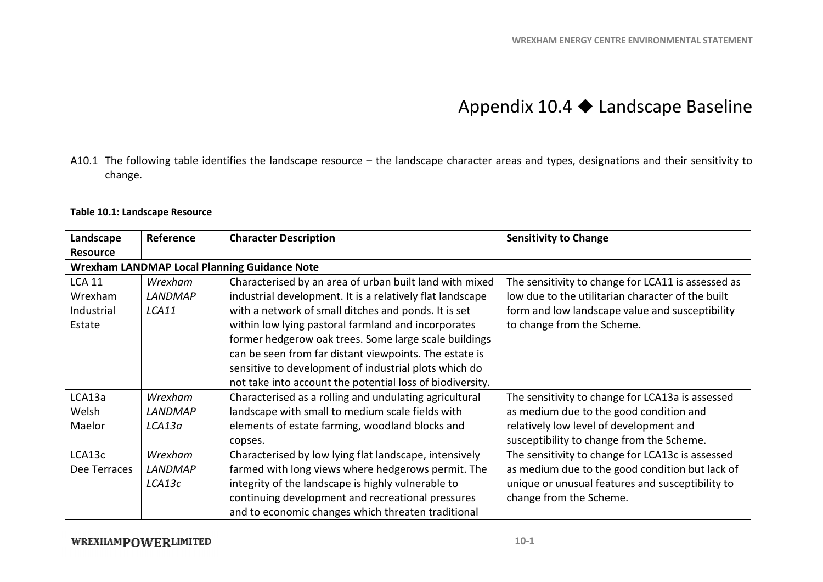### Appendix  $10.4 \blacklozenge$  Landscape Baseline

A10.1 The following table identifies the landscape resource – the landscape character areas and types, designations and their sensitivity to change.

#### **Table 10.1: Landscape Resource**

| Landscape       | Reference      | <b>Character Description</b>                              | <b>Sensitivity to Change</b>                       |
|-----------------|----------------|-----------------------------------------------------------|----------------------------------------------------|
| <b>Resource</b> |                |                                                           |                                                    |
|                 |                | <b>Wrexham LANDMAP Local Planning Guidance Note</b>       |                                                    |
| <b>LCA 11</b>   | Wrexham        | Characterised by an area of urban built land with mixed   | The sensitivity to change for LCA11 is assessed as |
| Wrexham         | <b>LANDMAP</b> | industrial development. It is a relatively flat landscape | low due to the utilitarian character of the built  |
| Industrial      | LCA11          | with a network of small ditches and ponds. It is set      | form and low landscape value and susceptibility    |
| Estate          |                | within low lying pastoral farmland and incorporates       | to change from the Scheme.                         |
|                 |                | former hedgerow oak trees. Some large scale buildings     |                                                    |
|                 |                | can be seen from far distant viewpoints. The estate is    |                                                    |
|                 |                | sensitive to development of industrial plots which do     |                                                    |
|                 |                | not take into account the potential loss of biodiversity. |                                                    |
| LCA13a          | Wrexham        | Characterised as a rolling and undulating agricultural    | The sensitivity to change for LCA13a is assessed   |
| Welsh           | <b>LANDMAP</b> | landscape with small to medium scale fields with          | as medium due to the good condition and            |
| Maelor          | LCA13a         | elements of estate farming, woodland blocks and           | relatively low level of development and            |
|                 |                | copses.                                                   | susceptibility to change from the Scheme.          |
| LCA13c          | Wrexham        | Characterised by low lying flat landscape, intensively    | The sensitivity to change for LCA13c is assessed   |
| Dee Terraces    | <b>LANDMAP</b> | farmed with long views where hedgerows permit. The        | as medium due to the good condition but lack of    |
|                 | LCA13c         | integrity of the landscape is highly vulnerable to        | unique or unusual features and susceptibility to   |
|                 |                | continuing development and recreational pressures         | change from the Scheme.                            |
|                 |                | and to economic changes which threaten traditional        |                                                    |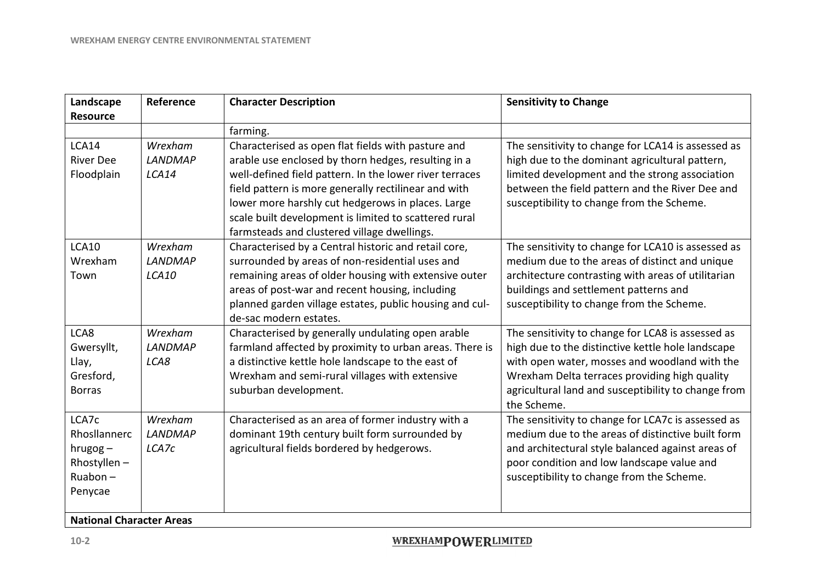| Landscape<br><b>Resource</b>                                             | Reference                          | <b>Character Description</b>                                                                                                                                                                                                                                                                                                                                                              | <b>Sensitivity to Change</b>                                                                                                                                                                                                                                                   |
|--------------------------------------------------------------------------|------------------------------------|-------------------------------------------------------------------------------------------------------------------------------------------------------------------------------------------------------------------------------------------------------------------------------------------------------------------------------------------------------------------------------------------|--------------------------------------------------------------------------------------------------------------------------------------------------------------------------------------------------------------------------------------------------------------------------------|
|                                                                          |                                    | farming.                                                                                                                                                                                                                                                                                                                                                                                  |                                                                                                                                                                                                                                                                                |
| LCA14<br><b>River Dee</b><br>Floodplain                                  | Wrexham<br><b>LANDMAP</b><br>LCA14 | Characterised as open flat fields with pasture and<br>arable use enclosed by thorn hedges, resulting in a<br>well-defined field pattern. In the lower river terraces<br>field pattern is more generally rectilinear and with<br>lower more harshly cut hedgerows in places. Large<br>scale built development is limited to scattered rural<br>farmsteads and clustered village dwellings. | The sensitivity to change for LCA14 is assessed as<br>high due to the dominant agricultural pattern,<br>limited development and the strong association<br>between the field pattern and the River Dee and<br>susceptibility to change from the Scheme.                         |
| <b>LCA10</b><br>Wrexham<br>Town                                          | Wrexham<br><b>LANDMAP</b><br>LCA10 | Characterised by a Central historic and retail core,<br>surrounded by areas of non-residential uses and<br>remaining areas of older housing with extensive outer<br>areas of post-war and recent housing, including<br>planned garden village estates, public housing and cul-<br>de-sac modern estates.                                                                                  | The sensitivity to change for LCA10 is assessed as<br>medium due to the areas of distinct and unique<br>architecture contrasting with areas of utilitarian<br>buildings and settlement patterns and<br>susceptibility to change from the Scheme.                               |
| LCA8<br>Gwersyllt,<br>Llay,<br>Gresford,<br><b>Borras</b>                | Wrexham<br><b>LANDMAP</b><br>LCA8  | Characterised by generally undulating open arable<br>farmland affected by proximity to urban areas. There is<br>a distinctive kettle hole landscape to the east of<br>Wrexham and semi-rural villages with extensive<br>suburban development.                                                                                                                                             | The sensitivity to change for LCA8 is assessed as<br>high due to the distinctive kettle hole landscape<br>with open water, mosses and woodland with the<br>Wrexham Delta terraces providing high quality<br>agricultural land and susceptibility to change from<br>the Scheme. |
| LCA7c<br>Rhosllannerc<br>$hrugog -$<br>Rhostyllen-<br>Ruabon-<br>Penycae | Wrexham<br><b>LANDMAP</b><br>LCA7c | Characterised as an area of former industry with a<br>dominant 19th century built form surrounded by<br>agricultural fields bordered by hedgerows.                                                                                                                                                                                                                                        | The sensitivity to change for LCA7c is assessed as<br>medium due to the areas of distinctive built form<br>and architectural style balanced against areas of<br>poor condition and low landscape value and<br>susceptibility to change from the Scheme.                        |
| <b>National Character Areas</b>                                          |                                    |                                                                                                                                                                                                                                                                                                                                                                                           |                                                                                                                                                                                                                                                                                |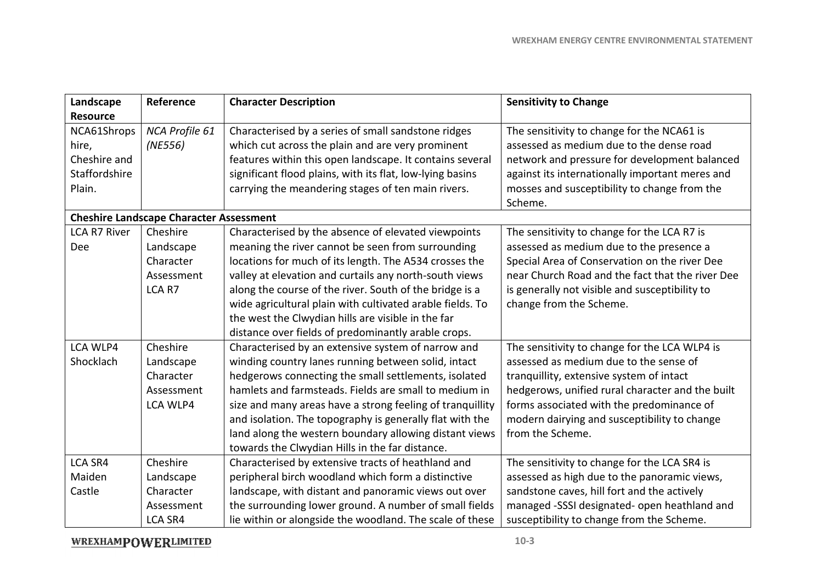| Landscape                                                       | Reference                                                    | <b>Character Description</b>                                                                                                                                                                                                                                                                                                                                                                                                                                      | <b>Sensitivity to Change</b>                                                                                                                                                                                                                                                                             |
|-----------------------------------------------------------------|--------------------------------------------------------------|-------------------------------------------------------------------------------------------------------------------------------------------------------------------------------------------------------------------------------------------------------------------------------------------------------------------------------------------------------------------------------------------------------------------------------------------------------------------|----------------------------------------------------------------------------------------------------------------------------------------------------------------------------------------------------------------------------------------------------------------------------------------------------------|
| <b>Resource</b>                                                 |                                                              |                                                                                                                                                                                                                                                                                                                                                                                                                                                                   |                                                                                                                                                                                                                                                                                                          |
| NCA61Shrops<br>hire,<br>Cheshire and<br>Staffordshire<br>Plain. | NCA Profile 61<br>(NE556)                                    | Characterised by a series of small sandstone ridges<br>which cut across the plain and are very prominent<br>features within this open landscape. It contains several<br>significant flood plains, with its flat, low-lying basins<br>carrying the meandering stages of ten main rivers.                                                                                                                                                                           | The sensitivity to change for the NCA61 is<br>assessed as medium due to the dense road<br>network and pressure for development balanced<br>against its internationally important meres and<br>mosses and susceptibility to change from the<br>Scheme.                                                    |
|                                                                 | <b>Cheshire Landscape Character Assessment</b>               |                                                                                                                                                                                                                                                                                                                                                                                                                                                                   |                                                                                                                                                                                                                                                                                                          |
| <b>LCA R7 River</b><br><b>Dee</b>                               | Cheshire<br>Landscape<br>Character<br>Assessment<br>LCA R7   | Characterised by the absence of elevated viewpoints<br>meaning the river cannot be seen from surrounding<br>locations for much of its length. The A534 crosses the<br>valley at elevation and curtails any north-south views<br>along the course of the river. South of the bridge is a<br>wide agricultural plain with cultivated arable fields. To<br>the west the Clwydian hills are visible in the far<br>distance over fields of predominantly arable crops. | The sensitivity to change for the LCA R7 is<br>assessed as medium due to the presence a<br>Special Area of Conservation on the river Dee<br>near Church Road and the fact that the river Dee<br>is generally not visible and susceptibility to<br>change from the Scheme.                                |
| LCA WLP4<br>Shocklach                                           | Cheshire<br>Landscape<br>Character<br>Assessment<br>LCA WLP4 | Characterised by an extensive system of narrow and<br>winding country lanes running between solid, intact<br>hedgerows connecting the small settlements, isolated<br>hamlets and farmsteads. Fields are small to medium in<br>size and many areas have a strong feeling of tranquillity<br>and isolation. The topography is generally flat with the<br>land along the western boundary allowing distant views<br>towards the Clwydian Hills in the far distance.  | The sensitivity to change for the LCA WLP4 is<br>assessed as medium due to the sense of<br>tranquillity, extensive system of intact<br>hedgerows, unified rural character and the built<br>forms associated with the predominance of<br>modern dairying and susceptibility to change<br>from the Scheme. |
| <b>LCA SR4</b><br>Maiden<br>Castle                              | Cheshire<br>Landscape<br>Character<br>Assessment<br>LCA SR4  | Characterised by extensive tracts of heathland and<br>peripheral birch woodland which form a distinctive<br>landscape, with distant and panoramic views out over<br>the surrounding lower ground. A number of small fields<br>lie within or alongside the woodland. The scale of these                                                                                                                                                                            | The sensitivity to change for the LCA SR4 is<br>assessed as high due to the panoramic views,<br>sandstone caves, hill fort and the actively<br>managed -SSSI designated- open heathland and<br>susceptibility to change from the Scheme.                                                                 |

**WREXHAMPOWERLIMITED**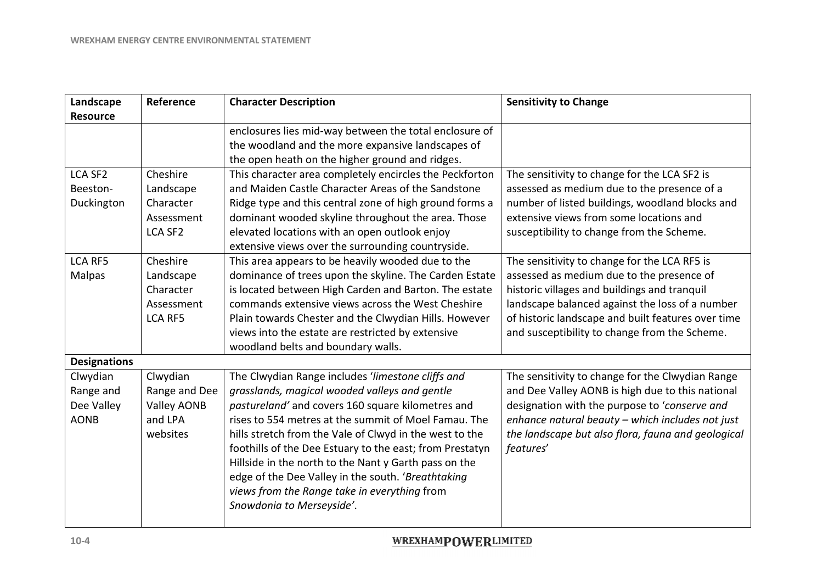| Landscape                                                                 | Reference                                                               | <b>Character Description</b>                                                                                                                                                                                                                                                                                                                                                                                                                                                                                                       | <b>Sensitivity to Change</b>                                                                                                                                                                                                                                                                        |
|---------------------------------------------------------------------------|-------------------------------------------------------------------------|------------------------------------------------------------------------------------------------------------------------------------------------------------------------------------------------------------------------------------------------------------------------------------------------------------------------------------------------------------------------------------------------------------------------------------------------------------------------------------------------------------------------------------|-----------------------------------------------------------------------------------------------------------------------------------------------------------------------------------------------------------------------------------------------------------------------------------------------------|
| <b>Resource</b>                                                           |                                                                         | enclosures lies mid-way between the total enclosure of<br>the woodland and the more expansive landscapes of<br>the open heath on the higher ground and ridges.                                                                                                                                                                                                                                                                                                                                                                     |                                                                                                                                                                                                                                                                                                     |
| <b>LCA SF2</b><br>Beeston-<br>Duckington                                  | Cheshire<br>Landscape<br>Character<br>Assessment<br>LCA SF <sub>2</sub> | This character area completely encircles the Peckforton<br>and Maiden Castle Character Areas of the Sandstone<br>Ridge type and this central zone of high ground forms a<br>dominant wooded skyline throughout the area. Those<br>elevated locations with an open outlook enjoy<br>extensive views over the surrounding countryside.                                                                                                                                                                                               | The sensitivity to change for the LCA SF2 is<br>assessed as medium due to the presence of a<br>number of listed buildings, woodland blocks and<br>extensive views from some locations and<br>susceptibility to change from the Scheme.                                                              |
| <b>LCA RF5</b><br>Malpas                                                  | Cheshire<br>Landscape<br>Character<br>Assessment<br><b>LCA RF5</b>      | This area appears to be heavily wooded due to the<br>dominance of trees upon the skyline. The Carden Estate<br>is located between High Carden and Barton. The estate<br>commands extensive views across the West Cheshire<br>Plain towards Chester and the Clwydian Hills. However<br>views into the estate are restricted by extensive<br>woodland belts and boundary walls.                                                                                                                                                      | The sensitivity to change for the LCA RF5 is<br>assessed as medium due to the presence of<br>historic villages and buildings and tranquil<br>landscape balanced against the loss of a number<br>of historic landscape and built features over time<br>and susceptibility to change from the Scheme. |
| <b>Designations</b><br>Clwydian<br>Range and<br>Dee Valley<br><b>AONB</b> | Clwydian<br>Range and Dee<br>Valley AONB<br>and LPA<br>websites         | The Clwydian Range includes 'limestone cliffs and<br>grasslands, magical wooded valleys and gentle<br>pastureland' and covers 160 square kilometres and<br>rises to 554 metres at the summit of Moel Famau. The<br>hills stretch from the Vale of Clwyd in the west to the<br>foothills of the Dee Estuary to the east; from Prestatyn<br>Hillside in the north to the Nant y Garth pass on the<br>edge of the Dee Valley in the south. 'Breathtaking<br>views from the Range take in everything from<br>Snowdonia to Merseyside'. | The sensitivity to change for the Clwydian Range<br>and Dee Valley AONB is high due to this national<br>designation with the purpose to 'conserve and<br>enhance natural beauty - which includes not just<br>the landscape but also flora, fauna and geological<br>features'                        |